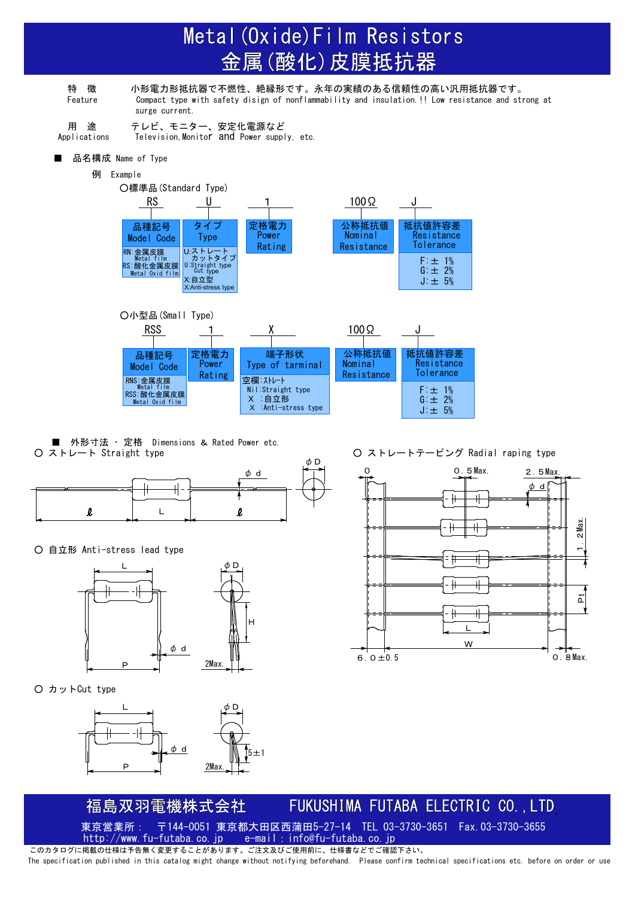# Metal (Oxide) Film Resistors 金属(酸化)皮膜抵抗器

特 徴 小形電力形抵抗器で不燃性、絶縁形です。永年の実績のある信頼性の高い汎用抵抗器です。 Feature Compact type with safety disign of nonflammability and insulation.!! Low resistance and strong at surge current.

用 途 テレビ、モニター、安定化電源など Applications Television, Monitor and Power supply, etc.

■ 品名構成 Name of Type

例 Example





■ 外形寸法 ・ 定格 Dimensions & Rated Power etc.<br>○ ストレート Straight type



○ 自立形 Anti-stress lead type



○ カットCut type



○ ストレートテーピング Radial raping type



### FUKUSHIMA FUTABA ELECTRIC CO., LTD 福島双羽電機株式会社

東京営業所: 〒144-0051 東京都大田区西蒲田5-27-14 TEL 03-3730-3651 Fax.03-3730-3655 http://www.fu-futaba.co.jp e-mail: info@fu-futaba.co.jp

このカタログに掲載の仕様は予告無く変更することがあります。ご注文及びご使用前に、仕様書などでご確認下さい。 The specification published in this catalog might change without notifying beforehand. Please confirm technical specifications etc. before on order or use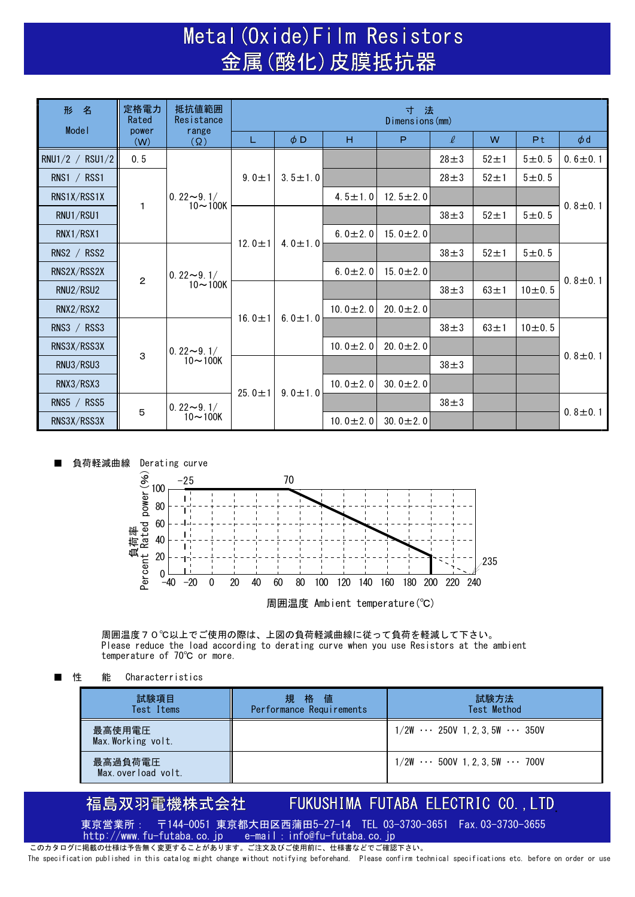### Metal (Oxide) Film Resistors 金属(酸化)皮膜抵抗器

| 形 名             | 定格電力<br>Rated | 抵抗値範囲<br>Resistance<br>range<br>$(\Omega)$ | 寸法<br>Dimensions (mm) |               |                |                |            |            |                |               |
|-----------------|---------------|--------------------------------------------|-----------------------|---------------|----------------|----------------|------------|------------|----------------|---------------|
| Model           | power<br>(W)  |                                            | L                     | $\phi$ D      | H              | P              | $\ell$     | W          | P <sub>t</sub> | $\phi$ d      |
| RNU1/2 / RSU1/2 | 0.5           | $0.22 \rightarrow 9.1/$<br>$10 - 100K$     | $9.0 \pm 1$           | $3.5 \pm 1.0$ |                |                | $28 + 3$   | $52 + 1$   | 5 ± 0.5        | $0.6 \pm 0.1$ |
| RNS1 $/$ RSS1   | 1             |                                            |                       |               |                |                | $28 + 3$   | $52 \pm 1$ | 5 ± 0.5        | $0.8 \pm 0.1$ |
| RNS1X/RSS1X     |               |                                            |                       |               | $4.5 \pm 1.0$  | 12.5 $\pm$ 2.0 |            |            |                |               |
| RNU1/RSU1       |               |                                            |                       | $4.0 \pm 1.0$ |                |                | $38 \pm 3$ | $52 \pm 1$ | 5 ± 0.5        |               |
| RNX1/RSX1       |               |                                            |                       |               | 6.0 $\pm$ 2.0  | 15.0 $\pm$ 2.0 |            |            |                |               |
| RNS2 / RSS2     |               | $0.22 - 9.1/$<br>$10 - 100K$               | 12.0 $\pm$ 1          |               |                |                | $38 \pm 3$ | $52 \pm 1$ | 5 ± 0.5        | $0.8 \pm 0.1$ |
| RNS2X/RSS2X     | $\mathbf{2}$  |                                            |                       |               | $6.0 \pm 2.0$  | 15.0 $\pm$ 2.0 |            |            |                |               |
| RNU2/RSU2       |               |                                            | 16.0 $\pm$ 1          | 6.0 $\pm$ 1.0 |                |                | $38 \pm 3$ | $63 \pm 1$ | 10 ± 0.5       |               |
| RNX2/RSX2       |               |                                            |                       |               | $10.0 \pm 2.0$ | 20.0 $\pm$ 2.0 |            |            |                |               |
| RNS3 $/$ RSS3   |               | $0.22 - 9.1/$<br>$10 - 100K$               |                       |               |                |                | $38 \pm 3$ | $63 \pm 1$ | 10 ± 0.5       | $0.8 \pm 0.1$ |
| RNS3X/RSS3X     | 3             |                                            |                       |               | $10.0 \pm 2.0$ | 20.0 $\pm$ 2.0 |            |            |                |               |
| RNU3/RSU3       |               |                                            | 25.0 $\pm$ 1          | $9.0 \pm 1.0$ |                |                | $38 \pm 3$ |            |                |               |
| RNX3/RSX3       |               |                                            |                       |               | 10.0 $\pm$ 2.0 | 30.0 $\pm$ 2.0 |            |            |                |               |
| RNS5 $/$ RSS5   | 5             | $0.22 \sim 9.1/$<br>$10 - 100K$            |                       |               |                |                | $38 \pm 3$ |            |                | $0.8 \pm 0.1$ |
| RNS3X/RSS3X     |               |                                            |                       |               | $10.0 \pm 2.0$ | 30.0 $\pm$ 2.0 |            |            |                |               |



周囲温度70℃以上でご使用の際は、上図の負荷軽減曲線に従って負荷を軽減して下さい。 Please reduce the load according to derating curve when you use Resistors at the ambient temperature of 70℃ or more.

**性 能 Characterristics** 

| 試験項目<br>Test Items            | 規 格 値<br>Performance Requirements | 試験方法<br>Test Method                            |
|-------------------------------|-----------------------------------|------------------------------------------------|
| 最高使用電圧<br>Max. Working volt.  |                                   | $1/2W$ $\cdots$ 250V 1, 2, 3, 5W $\cdots$ 350V |
| 最高過負荷電圧<br>Max.overload volt. |                                   | $1/2W \cdots 500V$ 1, 2, 3, 5W $\cdots 700V$   |

#### 福島双羽電機株式会社 FUKUSHIMA FUTABA ELECTRIC CO., LTD

東京営業所: 〒144-0051 東京都大田区西蒲田5-27-14 TEL 03-3730-3651 Fax.03-3730-3655<br>http://www.fu-futaba.co.jp e-mail:info@fu-futaba.co.jp http://www.fu-futaba.co.jp e-mail:info@fu-futaba.co.jp

このカタログに掲載の仕様は予告無く変更することがあります。ご注文及びご使用前に、仕様書などでご確認下さい。 The specification published in this catalog might change without notifying beforehand. Please confirm technical specifications etc. before on order or use